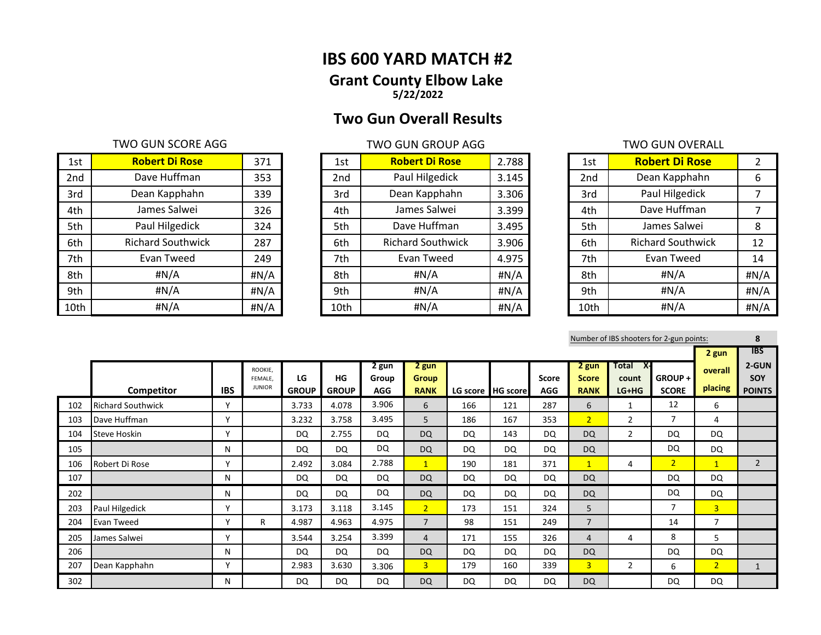## **IBS 600 YARD MATCH #2 Grant County Elbow Lake 5/22/2022**

# **Two Gun Overall Results**

## TWO GUN SCORE AGG TWO GUN GROUP AGG TWO GUN GROUP AGG

| 1st  | <b>Robert Di Rose</b>    | 371  | 1st  | <b>Robert Di Rose</b>    | 2.788 | 1st  | <b>Robert Di Rose</b>    |      |
|------|--------------------------|------|------|--------------------------|-------|------|--------------------------|------|
| 2nd  | Dave Huffman             | 353  | 2nd  | Paul Hilgedick           | 3.145 | 2nd  | Dean Kapphahn            | 6    |
| 3rd  | Dean Kapphahn            | 339  | 3rd  | Dean Kapphahn            | 3.306 | 3rd  | Paul Hilgedick           |      |
| 4th  | James Salwei             | 326  | 4th  | James Salwei             | 3.399 | 4th  | Dave Huffman             |      |
| 5th  | Paul Hilgedick           | 324  | 5th  | Dave Huffman             | 3.495 | 5th  | James Salwei             | 8    |
| 6th  | <b>Richard Southwick</b> | 287  | 6th  | <b>Richard Southwick</b> | 3.906 | 6th  | <b>Richard Southwick</b> | 12   |
| 7th  | Evan Tweed               | 249  | 7th  | Evan Tweed               | 4.975 | 7th  | Evan Tweed               | 14   |
| 8th  | #N/A                     | #N/A | 8th  | #N/A                     | #N/A  | 8th  | #N/A                     | #N/A |
| 9th  | #N/A                     | #N/A | 9th  | #N/A                     | #N/A  | 9th  | #N/A                     | #N/A |
| 10th | #N/A                     | #N/A | 10th | H N/A                    | #N/A  | 10th | H N/A                    | #N/A |

| 1st  | <b>Robert Di Rose</b>    | 2.788 |
|------|--------------------------|-------|
| 2nd  | Paul Hilgedick           | 3.145 |
| 3rd  | Dean Kapphahn            | 3.306 |
| 4th  | James Salwei             | 3.399 |
| 5th  | Dave Huffman             | 3.495 |
| 6th  | <b>Richard Southwick</b> | 3.906 |
| 7th  | Evan Tweed               | 4.975 |
| 8th  | #N/A                     | #N/A  |
| 9th  | #N/A                     | #N/A  |
| 10th | #N/A                     | #N/A  |

| 1st  | <b>Robert Di Rose</b>    | 2    |
|------|--------------------------|------|
| 2nd  | Dean Kapphahn            | 6    |
| 3rd  | Paul Hilgedick           | 7    |
| 4th  | Dave Huffman             | 7    |
| 5th  | James Salwei             | 8    |
| 6th  | <b>Richard Southwick</b> | 12   |
| 7th  | <b>Evan Tweed</b>        | 14   |
| 8th  | #N/A                     | #N/A |
| 9th  | #N/A                     | #N/A |
| 10th | #N/A                     | #N/A |

| Number of IBS shooters for 2-gun points: |  |
|------------------------------------------|--|
|                                          |  |

|     |                          |              |                                     |                    |                    |                              |                                      |           |                   |                            |                                      |                                        |                               | 2 gun              | <b>IBS</b>                    |
|-----|--------------------------|--------------|-------------------------------------|--------------------|--------------------|------------------------------|--------------------------------------|-----------|-------------------|----------------------------|--------------------------------------|----------------------------------------|-------------------------------|--------------------|-------------------------------|
|     | Competitor               | <b>IBS</b>   | ROOKIE.<br>FEMALE.<br><b>JUNIOR</b> | LG<br><b>GROUP</b> | HG<br><b>GROUP</b> | 2 gun<br>Group<br><b>AGG</b> | 2 gun<br><b>Group</b><br><b>RANK</b> |           | LG score HG score | <b>Score</b><br><b>AGG</b> | 2 gun<br><b>Score</b><br><b>RANK</b> | <b>X-</b><br>Total<br>count<br>$LG+HG$ | <b>GROUP+</b><br><b>SCORE</b> | overall<br>placing | 2-GUN<br>SOY<br><b>POINTS</b> |
| 102 | <b>Richard Southwick</b> | $\mathsf{v}$ |                                     | 3.733              | 4.078              | 3.906                        | 6                                    | 166       | 121               | 287                        | 6                                    | 1                                      | 12                            | 6                  |                               |
| 103 | Dave Huffman             | $\mathbf v$  |                                     | 3.232              | 3.758              | 3.495                        | 5                                    | 186       | 167               | 353                        | $\overline{2}$                       | $\overline{2}$                         | 7                             | 4                  |                               |
| 104 | Steve Hoskin             | $\mathbf v$  |                                     | <b>DQ</b>          | 2.755              | DQ                           | <b>DQ</b>                            | DQ        | 143               | DQ                         | <b>DQ</b>                            | $\overline{2}$                         | DQ                            | <b>DQ</b>          |                               |
| 105 |                          | N            |                                     | <b>DQ</b>          | DQ                 | DQ                           | <b>DQ</b>                            | DQ        | <b>DQ</b>         | DQ                         | <b>DQ</b>                            |                                        | DQ                            | <b>DQ</b>          |                               |
| 106 | Robert Di Rose           | $\mathbf v$  |                                     | 2.492              | 3.084              | 2.788                        | $\mathbf{1}$                         | 190       | 181               | 371                        | $\mathbf{1}$                         | 4                                      | 2 <sup>1</sup>                | $\overline{1}$     | $\overline{2}$                |
| 107 |                          | N.           |                                     | <b>DQ</b>          | <b>DQ</b>          | DQ                           | <b>DQ</b>                            | <b>DQ</b> | <b>DQ</b>         | DQ                         | <b>DQ</b>                            |                                        | DQ                            | <b>DQ</b>          |                               |
| 202 |                          | N            |                                     | DQ                 | <b>DQ</b>          | DQ                           | <b>DQ</b>                            | DQ        | <b>DQ</b>         | DQ                         | <b>DQ</b>                            |                                        | DQ                            | <b>DQ</b>          |                               |
| 203 | Paul Hilgedick           | $\mathbf v$  |                                     | 3.173              | 3.118              | 3.145                        | 2 <sup>1</sup>                       | 173       | 151               | 324                        | 5                                    |                                        | 7                             | $\overline{3}$     |                               |
| 204 | <b>Evan Tweed</b>        | $\checkmark$ | R                                   | 4.987              | 4.963              | 4.975                        | $\overline{7}$                       | 98        | 151               | 249                        | $\overline{7}$                       |                                        | 14                            | $\overline{7}$     |                               |
| 205 | James Salwei             | $\mathsf{v}$ |                                     | 3.544              | 3.254              | 3.399                        | 4                                    | 171       | 155               | 326                        | 4                                    | 4                                      | 8                             | 5                  |                               |
| 206 |                          | N            |                                     | DQ                 | DQ                 | <b>DQ</b>                    | <b>DQ</b>                            | DQ        | DQ                | DQ.                        | <b>DQ</b>                            |                                        | DQ.                           | DQ                 |                               |
| 207 | Dean Kapphahn            | $\mathsf{v}$ |                                     | 2.983              | 3.630              | 3.306                        | 3 <sup>1</sup>                       | 179       | 160               | 339                        | 3                                    | 2                                      | 6                             | $\overline{2}$     | $\mathbf{1}$                  |
| 302 |                          | N            |                                     | DQ                 | DQ                 | DQ.                          | <b>DQ</b>                            | DQ        | DQ                | DQ                         | <b>DQ</b>                            |                                        | DQ                            | <b>DQ</b>          |                               |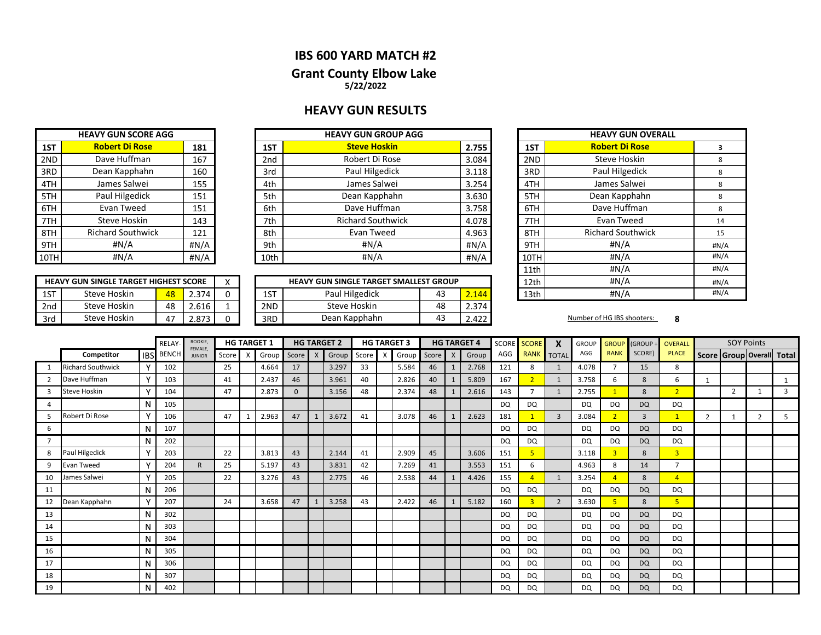# **IBS 600 YARD MATCH #2**

## **Grant County Elbow Lake**

**5/22/2022**

## **HEAVY GUN RESULTS**

| <b>HEAVY GUN SCORE AGG</b> |                          |      |  |  |  |  |  |  |  |
|----------------------------|--------------------------|------|--|--|--|--|--|--|--|
| 1ST                        | <b>Robert Di Rose</b>    | 181  |  |  |  |  |  |  |  |
| 2ND                        | Dave Huffman             | 167  |  |  |  |  |  |  |  |
| 3RD                        | Dean Kapphahn            | 160  |  |  |  |  |  |  |  |
| 4TH                        | James Salwei             | 155  |  |  |  |  |  |  |  |
| 5TH                        | Paul Hilgedick           | 151  |  |  |  |  |  |  |  |
| 6TH                        | Evan Tweed               | 151  |  |  |  |  |  |  |  |
| 7TH                        | Steve Hoskin             | 143  |  |  |  |  |  |  |  |
| 8TH                        | <b>Richard Southwick</b> | 121  |  |  |  |  |  |  |  |
| 9TH                        | #N/A                     | #N/A |  |  |  |  |  |  |  |
| 10TH                       | #N/A                     | #N/A |  |  |  |  |  |  |  |

|         | <b>HEAVY GUN GROUP AGG</b> |                 |      |                          |                            |  |  |  |  |  |  |
|---------|----------------------------|-----------------|------|--------------------------|----------------------------|--|--|--|--|--|--|
| 2.755   | <b>Steve Hoskin</b>        | 1ST             | 181  | <b>Robert Di Rose</b>    | 1ST                        |  |  |  |  |  |  |
| 3.084   | Robert Di Rose             | 2 <sub>nd</sub> | 167  | Dave Huffman             | 2ND                        |  |  |  |  |  |  |
| 3.118   | Paul Hilgedick             | 3rd             | 160  | Dean Kapphahn            | 3RD                        |  |  |  |  |  |  |
| 3.254   | James Salwei               | 4th             | 155  | James Salwei             | 4TH                        |  |  |  |  |  |  |
| 3.630   | Dean Kapphahn              | 5th             | 151  | Paul Hilgedick           | 5TH                        |  |  |  |  |  |  |
| 3.758   | Dave Huffman               | 6th             | 151  | Evan Tweed               | 6TH                        |  |  |  |  |  |  |
| 4.078   | <b>Richard Southwick</b>   | 7th             | 143  | Steve Hoskin             | 7TH                        |  |  |  |  |  |  |
| 4.963   | Evan Tweed                 | 8th             | 121  | <b>Richard Southwick</b> | 8TH                        |  |  |  |  |  |  |
| # $N/A$ | #N/A                       | 9th             | #N/A | #N/A                     | 9TH                        |  |  |  |  |  |  |
| #N/A    | #N/A                       | 10th            | #N/A | #N/A                     | 10TH                       |  |  |  |  |  |  |
|         |                            |                 |      |                          | <b>HEAVY GUN SCORE AGG</b> |  |  |  |  |  |  |

|     | <b>HEAVY GUN SINGLE TARGET HIGHEST SCORE</b> |       |       | $\lambda$ |                | <b>HEAVY GUN SINGLE TARGET SMALLEST GROUP</b> | 12th               | #N/A           |      |                            |  |
|-----|----------------------------------------------|-------|-------|-----------|----------------|-----------------------------------------------|--------------------|----------------|------|----------------------------|--|
| 1ST | Steve Hoskin                                 | 2.374 |       | 1ST       | Paul Hilgedick | 4٠                                            | $\angle 140^\circ$ | 13th           | #N/A |                            |  |
| 2nd | Steve Hoskin                                 | 48    | 2.616 |           | 2ND            | Steve Hoskin                                  | 48                 | 2.374          |      |                            |  |
| 3rd | Steve Hoskin                                 | ∸     | 2.87? |           | 3RD            | Dean Kapphahn                                 | 43                 | 122<br>2.422 L |      | Number of HG IBS shooters: |  |

| <b>HEAVY GUN GROUP AGG</b>      |    |       |      | <b>HEAVY GUN OVERALL</b> |      |
|---------------------------------|----|-------|------|--------------------------|------|
| <b>Steve Hoskin</b>             |    | 2.755 | 1ST  | <b>Robert Di Rose</b>    | 3    |
| Robert Di Rose                  |    | 3.084 | 2ND  | Steve Hoskin             | 8    |
| Paul Hilgedick                  |    | 3.118 | 3RD  | Paul Hilgedick           | 8    |
| James Salwei                    |    | 3.254 | 4TH  | James Salwei             | 8    |
| Dean Kapphahn                   |    | 3.630 | 5TH  | Dean Kapphahn            | 8    |
| Dave Huffman                    |    | 3.758 | 6TH  | Dave Huffman             | 8    |
| <b>Richard Southwick</b>        |    | 4.078 | 7TH  | Evan Tweed               | 14   |
| Evan Tweed                      |    | 4.963 | 8TH  | <b>Richard Southwick</b> | 15   |
| # $N/A$                         |    | #N/A  | 9TH  | #N/A                     | #N/A |
| #N/A                            |    | #N/A  | 10TH | # $N/A$                  | #N/A |
|                                 |    |       | 11th | # $N/A$                  | #N/A |
| IN SINGLE TARGET SMALLEST GROUP |    |       | 12th | # $N/A$                  | #N/A |
| Paul Hilgedick                  | 43 | 2.144 | 13th | #N/A                     | #N/A |
|                                 |    |       |      |                          |      |

|                |                          |              | RELAY            | ROOKIE,                        |       |                           | <b>HG TARGET 1</b><br><b>HG TARGET 2</b> |              |   | <b>HG TARGET 3</b> |    |       | <b>HG TARGET 4</b> | <b>SCORE</b> | <b>SCORE</b> | X         | <b>GROUP</b>   | <b>GROUP</b>   | (GROUP+   | <b>OVERALL</b>          |                |                | <b>SOY Points</b> |                |  |                           |
|----------------|--------------------------|--------------|------------------|--------------------------------|-------|---------------------------|------------------------------------------|--------------|---|--------------------|----|-------|--------------------|--------------|--------------|-----------|----------------|----------------|-----------|-------------------------|----------------|----------------|-------------------|----------------|--|---------------------------|
|                | Competitor               |              | <b>IBS</b> BENCH | <b>FEMALE</b><br><b>JUNIOR</b> | Score | $\boldsymbol{\mathsf{X}}$ | Group                                    | Score        | X | Group Score        |    | Group | Score              | $\mathsf{X}$ | Group        | AGG       | <b>RANK</b>    | <b>TOTAL</b>   | AGG       | <b>RANK</b>             | SCORE)         | <b>PLACE</b>   |                   |                |  | Score Group Overall Total |
|                | <b>Richard Southwick</b> |              | 102              |                                | 25    |                           | 4.664                                    | 17           |   | 3.297              | 33 | 5.584 | 46                 |              | 2.768        | 121       | 8              | 1              | 4.078     |                         | 15             | 8              |                   |                |  |                           |
|                | Dave Huffman             | $\checkmark$ | 103              |                                | 41    |                           | 2.437                                    | 46           |   | 3.961              | 40 | 2.826 | 40                 |              | 5.809        | 167       |                | $\mathbf{1}$   | 3.758     | 6                       | 8              | 6              |                   |                |  |                           |
| 3              | <b>Steve Hoskin</b>      | $\checkmark$ | 104              |                                | 47    |                           | 2.873                                    | $\mathbf{0}$ |   | 3.156              | 48 | 2.374 | 48                 |              | 2.616        | 143       |                | 1              | 2.755     |                         | 8              | $\overline{2}$ |                   | $\overline{2}$ |  | 3                         |
| $\overline{a}$ |                          | N            | 105              |                                |       |                           |                                          |              |   |                    |    |       |                    |              |              | DQ        | DQ             |                | DQ        | DQ                      | <b>DQ</b>      | DQ             |                   |                |  |                           |
| 5              | Robert Di Rose           |              | 106              |                                | 47    |                           | 2.963                                    | 47           |   | 3.672              | 41 | 3.078 | 46                 |              | 2.623        | 181       |                | $\overline{3}$ | 3.084     |                         | $\overline{3}$ | 1              | $\overline{2}$    | $\mathbf 1$    |  | -5                        |
| 6              |                          | N            | 107              |                                |       |                           |                                          |              |   |                    |    |       |                    |              |              | <b>DQ</b> | DQ             |                | <b>DQ</b> | DQ                      | <b>DQ</b>      | DQ             |                   |                |  |                           |
|                |                          | N            | 202              |                                |       |                           |                                          |              |   |                    |    |       |                    |              |              | DQ        | DQ             |                | DQ        | DQ                      | <b>DQ</b>      | DQ             |                   |                |  |                           |
| 8              | Paul Hilgedick           |              | 203              |                                | 22    |                           | 3.813                                    | 43           |   | 2.144              | 41 | 2.909 | 45                 |              | 3.606        | 151       | 5              |                | 3.118     | $\overline{\mathbf{3}}$ | 8              | $\overline{3}$ |                   |                |  |                           |
| 9              | <b>Evan Tweed</b>        | $\checkmark$ | 204              | R                              | 25    |                           | 5.197                                    | 43           |   | 3.831              | 42 | 7.269 | 41                 |              | 3.553        | 151       | 6              |                | 4.963     | 8                       | 14             | $\overline{ }$ |                   |                |  |                           |
| 10             | James Salwei             | $\checkmark$ | 205              |                                | 22    |                           | 3.276                                    | 43           |   | 2.775              | 46 | 2.538 | 44                 |              | 4.426        | 155       | $\overline{4}$ | 1              | 3.254     |                         | 8              | $\overline{4}$ |                   |                |  |                           |
| 11             |                          | N            | 206              |                                |       |                           |                                          |              |   |                    |    |       |                    |              |              | DQ        | DQ             |                | DQ        | DQ                      | <b>DQ</b>      | DQ             |                   |                |  |                           |
| 12             | Dean Kapphahn            | $\checkmark$ | 207              |                                | 24    |                           | 3.658                                    | 47           |   | 3.258              | 43 | 2.422 | 46                 |              | 5.182        | 160       | 3              | 2              | 3.630     | 5                       | 8              | 5 <sup>1</sup> |                   |                |  |                           |
| 13             |                          | N            | 302              |                                |       |                           |                                          |              |   |                    |    |       |                    |              |              | DQ        | DQ             |                | DQ        | DQ                      | <b>DQ</b>      | DQ             |                   |                |  |                           |
| 14             |                          | N            | 303              |                                |       |                           |                                          |              |   |                    |    |       |                    |              |              | DQ        | DQ             |                | DQ        | DQ                      | <b>DQ</b>      | DQ             |                   |                |  |                           |
| 15             |                          | N            | 304              |                                |       |                           |                                          |              |   |                    |    |       |                    |              |              | DQ        | DQ             |                | DQ        | DQ                      | <b>DQ</b>      | DQ             |                   |                |  |                           |
| 16             |                          | N            | 305              |                                |       |                           |                                          |              |   |                    |    |       |                    |              |              | DQ        | DQ             |                | DQ        | <b>DQ</b>               | <b>DQ</b>      | <b>DQ</b>      |                   |                |  |                           |
| 17             |                          | N            | 306              |                                |       |                           |                                          |              |   |                    |    |       |                    |              |              | DQ        | DQ             |                | DQ        | <b>DQ</b>               | <b>DQ</b>      | DQ             |                   |                |  |                           |
| 18             |                          | N            | 307              |                                |       |                           |                                          |              |   |                    |    |       |                    |              |              | DQ        | DQ             |                | DQ.       | DQ                      | <b>DQ</b>      | DQ.            |                   |                |  |                           |
| 19             |                          | N            | 402              |                                |       |                           |                                          |              |   |                    |    |       |                    |              |              | DQ        | DQ             |                | DQ        | DQ                      | <b>DQ</b>      | DQ             |                   |                |  |                           |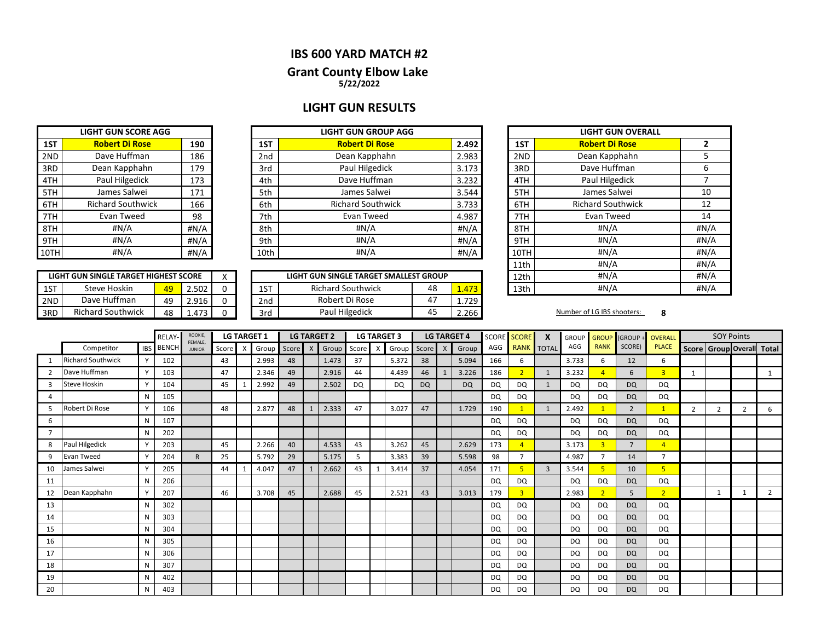### **IBS 600 YARD MATCH #2**

### **5/22/2022 Grant County Elbow Lake**

## **LIGHT GUN RESULTS**

| <b>LIGHT GUN SCORE AGG</b> |                          |      |  |  |  |  |  |  |  |  |
|----------------------------|--------------------------|------|--|--|--|--|--|--|--|--|
| 1ST                        | <b>Robert Di Rose</b>    | 190  |  |  |  |  |  |  |  |  |
| 2ND                        | Dave Huffman             | 186  |  |  |  |  |  |  |  |  |
| 3RD                        | Dean Kapphahn            | 179  |  |  |  |  |  |  |  |  |
| 4TH                        | Paul Hilgedick           | 173  |  |  |  |  |  |  |  |  |
| 5TH                        | James Salwei             | 171  |  |  |  |  |  |  |  |  |
| 6TH                        | <b>Richard Southwick</b> | 166  |  |  |  |  |  |  |  |  |
| 7TH                        | Evan Tweed               | 98   |  |  |  |  |  |  |  |  |
| 8TH                        | #N/A                     | #N/A |  |  |  |  |  |  |  |  |
| 9TH                        | #N/A                     | #N/A |  |  |  |  |  |  |  |  |
| 10TH                       | #N/A                     | #N/A |  |  |  |  |  |  |  |  |

**LIGHT GUN SINGLE TARGET HIGHEST SCORE**

|      | <b>LIGHT GUN SCORE AGG</b> |      |                 | <b>LIGHT GUN GROUP AGG</b> |       |      | <b>LIGHT GU</b>    |
|------|----------------------------|------|-----------------|----------------------------|-------|------|--------------------|
| 1ST  | <b>Robert Di Rose</b>      | 190  | 1ST             | <b>Robert Di Rose</b>      | 2.492 | 1ST  | <b>Robert Di</b>   |
| 2ND  | Dave Huffman               | 186  | 2 <sub>nd</sub> | Dean Kapphahn              | 2.983 | 2ND  | Dean Kapp          |
| 3RD  | Dean Kapphahn              | 179  | 3rd             | Paul Hilgedick             | 3.173 | 3RD  | Dave Huff          |
| 4TH  | Paul Hilgedick             | 173  | 4th             | Dave Huffman               | 3.232 | 4TH  | Paul Hilge         |
| 5TH  | James Salwei               | 171  | 5th             | James Salwei               | 3.544 | 5TH  | James Sa           |
| 6TH  | <b>Richard Southwick</b>   | 166  | 6th             | <b>Richard Southwick</b>   | 3.733 | 6TH  | <b>Richard Sou</b> |
| 7TH  | Evan Tweed                 | 98   | 7th             | Evan Tweed                 | 4.987 | 7TH  | Evan Tw            |
| 8TH  | #N/A                       | #N/A | 8th             | #N/A                       | #N/A  | 8TH  | #N/A               |
| 9TH  | #N/A                       | #N/A | 9th             | #N/A                       | #N/A  | 9TH  | #N/A               |
| 10TH | #N/A                       | #N/A | 10th            | #N/A                       | #N/A  | 10TH | #N/A               |

|     | LIGHT GUN SINGLE TARGET HIGHEST SCORE |    |       | $\lambda$ |                       | LIGHT GUN SINGLE TARGET SMALLEST GROUP                        |   |       | #N/A<br>12th |  |                            |  |  |
|-----|---------------------------------------|----|-------|-----------|-----------------------|---------------------------------------------------------------|---|-------|--------------|--|----------------------------|--|--|
| 1ST | Steve Hoskin                          | 49 | 2.502 |           | 1 <sub>CT</sub><br>∸∽ | 48<br><b>Richard Southwick</b><br>13th<br>$-$<br><b>1.475</b> |   | #N/A  |              |  |                            |  |  |
| 2ND | Dave Huffman                          | 49 | 2.916 |           | 2 <sub>nd</sub>       | Robert Di Rose                                                | ▵ | 1.729 |              |  |                            |  |  |
| 3RD | <b>Richard Southwick</b>              | 48 | 1.473 |           | 3rd                   | Paul Hilgedick                                                | 4 | 2.266 |              |  | Number of LG IBS shooters: |  |  |

| <b>LIGHT GUN OVERALL</b> |                          |                |  |  |  |  |  |  |  |
|--------------------------|--------------------------|----------------|--|--|--|--|--|--|--|
| 1ST                      | <b>Robert Di Rose</b>    | $\overline{2}$ |  |  |  |  |  |  |  |
| 2ND                      | Dean Kapphahn            | 5              |  |  |  |  |  |  |  |
| 3RD                      | Dave Huffman             | 6              |  |  |  |  |  |  |  |
| 4TH                      | Paul Hilgedick           | 7              |  |  |  |  |  |  |  |
| 5TH                      | James Salwei             | 10             |  |  |  |  |  |  |  |
| 6TH                      | <b>Richard Southwick</b> | 12             |  |  |  |  |  |  |  |
| 7TH                      | Evan Tweed               | 14             |  |  |  |  |  |  |  |
| 8TH                      | #N/A                     | #N/A           |  |  |  |  |  |  |  |
| 9TH                      | #N/A                     | #N/A           |  |  |  |  |  |  |  |
| 10TH                     | #N/A                     | #N/A           |  |  |  |  |  |  |  |
| 11th                     | #N/A                     | #N/A           |  |  |  |  |  |  |  |
| 12th                     | #N/A                     | #N/A           |  |  |  |  |  |  |  |
| 13th                     | #N/A                     | #N/A           |  |  |  |  |  |  |  |

|                |                          |              | RELAY     | ROOKIE,<br>FEMALE, | <b>LG TARGET 1</b> |              |       | <b>LG TARGET 2</b> |  | <b>LG TARGET 3</b> |           | <b>LG TARGET 4</b> |             | <b>SCORE</b> |   | $\mathbf{x}$<br><b>SCORE</b> |           | <b>GROUP</b> | (GROUP -       | <b>OVERALL</b> | <b>SOY Points</b> |                |                |                |                           |                |                |
|----------------|--------------------------|--------------|-----------|--------------------|--------------------|--------------|-------|--------------------|--|--------------------|-----------|--------------------|-------------|--------------|---|------------------------------|-----------|--------------|----------------|----------------|-------------------|----------------|----------------|----------------|---------------------------|----------------|----------------|
|                | Competitor               |              | IBS BENCH | <b>JUNIOR</b>      | Score              | $\mathsf{x}$ | Group | Score X            |  | Group              | Score     | $\times$           | Group Score |              | X | Group                        | AGG       | <b>RANK</b>  | <b>TOTAL</b>   | AGG            | <b>RANK</b>       | SCORE)         | <b>PLACE</b>   |                | Score Group Overall Total |                |                |
|                | <b>Richard Southwick</b> | $\mathsf{v}$ | 102       |                    | 43                 |              | 2.993 | 48                 |  | 1.473              | 37        |                    | 5.372       | 38           |   | 5.094                        | 166       | 6            |                | 3.733          | 6                 | 12             | 6              |                |                           |                |                |
| 2              | Dave Huffman             |              | 103       |                    | 47                 |              | 2.346 | 49                 |  | 2.916              | 44        |                    | 4.439       | 46           |   | 3.226                        | 186       |              | $\mathbf{1}$   | 3.232          | $\overline{4}$    | 6              | $\overline{3}$ | 1              |                           |                |                |
| 3              | Steve Hoskin             | $\vee$       | 104       |                    | 45                 |              | 2.992 | 49                 |  | 2.502              | <b>DQ</b> |                    | DQ          | <b>DQ</b>    |   | <b>DQ</b>                    | DQ        | <b>DQ</b>    | $\mathbf{1}$   | <b>DQ</b>      | <b>DQ</b>         | <b>DQ</b>      | DQ             |                |                           |                |                |
| $\overline{4}$ |                          | N            | 105       |                    |                    |              |       |                    |  |                    |           |                    |             |              |   |                              | DQ        | <b>DQ</b>    |                | <b>DQ</b>      | <b>DQ</b>         | <b>DQ</b>      | DQ             |                |                           |                |                |
| 5              | Robert Di Rose           | $\checkmark$ | 106       |                    | 48                 |              | 2.877 | 48                 |  | 2.333              | 47        |                    | 3.027       | 47           |   | 1.729                        | 190       |              | $\mathbf{1}$   | 2.492          |                   | $\overline{2}$ | 1              | $\overline{2}$ | $\overline{2}$            | $\overline{2}$ | 6              |
| 6              |                          | N            | 107       |                    |                    |              |       |                    |  |                    |           |                    |             |              |   |                              | DQ        | <b>DQ</b>    |                | <b>DQ</b>      | <b>DQ</b>         | <b>DQ</b>      | DQ             |                |                           |                |                |
|                |                          | N            | 202       |                    |                    |              |       |                    |  |                    |           |                    |             |              |   |                              | <b>DQ</b> | DQ           |                | <b>DQ</b>      | DQ                | <b>DQ</b>      | DQ             |                |                           |                |                |
| 8              | Paul Hilgedick           | $\mathbf v$  | 203       |                    | 45                 |              | 2.266 | 40                 |  | 4.533              | 43        |                    | 3.262       | 45           |   | 2.629                        | 173       |              |                | 3.173          | $\overline{3}$    | $\overline{7}$ | $\overline{a}$ |                |                           |                |                |
| 9              | Evan Tweed               |              | 204       | R.                 | 25                 |              | 5.792 | 29                 |  | 5.175              | 5         |                    | 3.383       | 39           |   | 5.598                        | 98        | 7            |                | 4.987          |                   | 14             |                |                |                           |                |                |
| 10             | James Salwei             | $\mathbf{v}$ | 205       |                    | 44                 |              | 4.047 | 47                 |  | 2.662              | 43        |                    | 3.414       | 37           |   | 4.054                        | 171       | 5            | $\overline{3}$ | 3.544          | 5                 | 10             | 5.             |                |                           |                |                |
| 11             |                          | N            | 206       |                    |                    |              |       |                    |  |                    |           |                    |             |              |   |                              | DQ        | DQ           |                | DQ             | <b>DQ</b>         | <b>DQ</b>      | DQ             |                |                           |                |                |
| 12             | Dean Kapphahn            |              | 207       |                    | 46                 |              | 3.708 | 45                 |  | 2.688              | 45        |                    | 2.521       | 43           |   | 3.013                        | 179       |              |                | 2.983          | $\overline{2}$    | 5              |                |                | 1                         |                | $\overline{2}$ |
| 13             |                          | N            | 302       |                    |                    |              |       |                    |  |                    |           |                    |             |              |   |                              | DQ        | DQ           |                | DQ             | DQ                | <b>DQ</b>      | DQ             |                |                           |                |                |
| 14             |                          | N            | 303       |                    |                    |              |       |                    |  |                    |           |                    |             |              |   |                              | <b>DQ</b> | <b>DQ</b>    |                | DQ             | <b>DQ</b>         | <b>DQ</b>      | DQ             |                |                           |                |                |
| 15             |                          | N            | 304       |                    |                    |              |       |                    |  |                    |           |                    |             |              |   |                              | <b>DQ</b> | <b>DQ</b>    |                | <b>DQ</b>      | <b>DQ</b>         | <b>DQ</b>      | DQ             |                |                           |                |                |
| 16             |                          | N            | 305       |                    |                    |              |       |                    |  |                    |           |                    |             |              |   |                              | <b>DQ</b> | DQ           |                | <b>DQ</b>      | <b>DQ</b>         | <b>DQ</b>      | DQ             |                |                           |                |                |
| 17             |                          | N            | 306       |                    |                    |              |       |                    |  |                    |           |                    |             |              |   |                              | DQ        | DQ           |                | DQ             | DQ                | <b>DQ</b>      | DQ             |                |                           |                |                |
| 18             |                          | N            | 307       |                    |                    |              |       |                    |  |                    |           |                    |             |              |   |                              | DQ        | DQ           |                | <b>DQ</b>      | DQ                | <b>DQ</b>      | DQ             |                |                           |                |                |
| 19             |                          | N            | 402       |                    |                    |              |       |                    |  |                    |           |                    |             |              |   |                              | <b>DQ</b> | <b>DQ</b>    |                | <b>DQ</b>      | <b>DQ</b>         | <b>DQ</b>      | <b>DQ</b>      |                |                           |                |                |
| 20             |                          | N            | 403       |                    |                    |              |       |                    |  |                    |           |                    |             |              |   |                              | <b>DQ</b> | DQ           |                | DQ             | DQ                | <b>DQ</b>      | DQ             |                |                           |                |                |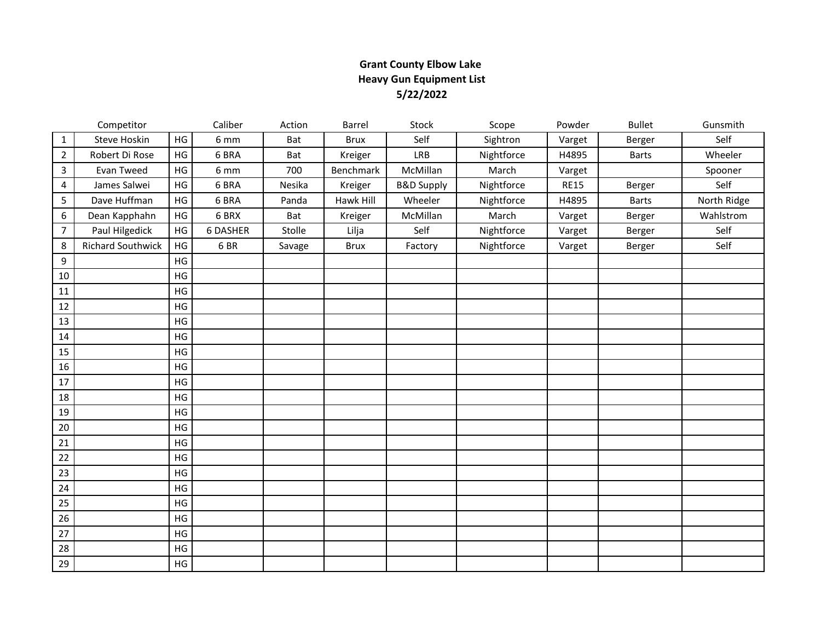## **Grant County Elbow Lake Heavy Gun Equipment List 5/22/2022**

|                | Competitor               |    | Caliber         | Action | <b>Barrel</b> | Stock                 | Scope      | Powder      | <b>Bullet</b> | Gunsmith    |
|----------------|--------------------------|----|-----------------|--------|---------------|-----------------------|------------|-------------|---------------|-------------|
| $\mathbf{1}$   | Steve Hoskin             | HG | 6 mm            | Bat    | <b>Brux</b>   | Self                  | Sightron   | Varget      | Berger        | Self        |
| $\overline{2}$ | Robert Di Rose           | HG | 6 BRA           | Bat    | Kreiger       | <b>LRB</b>            | Nightforce | H4895       | <b>Barts</b>  | Wheeler     |
| 3              | Evan Tweed               | HG | 6 mm            | 700    | Benchmark     | McMillan              | March      | Varget      |               | Spooner     |
| 4              | James Salwei             | HG | 6 BRA           | Nesika | Kreiger       | <b>B&amp;D Supply</b> | Nightforce | <b>RE15</b> | Berger        | Self        |
| 5              | Dave Huffman             | HG | 6 BRA           | Panda  | Hawk Hill     | Wheeler               | Nightforce | H4895       | <b>Barts</b>  | North Ridge |
| 6              | Dean Kapphahn            | HG | 6 BRX           | Bat    | Kreiger       | McMillan              | March      | Varget      | Berger        | Wahlstrom   |
| $\overline{7}$ | Paul Hilgedick           | HG | <b>6 DASHER</b> | Stolle | Lilja         | Self                  | Nightforce | Varget      | Berger        | Self        |
| 8              | <b>Richard Southwick</b> | HG | 6BR             | Savage | <b>Brux</b>   | Factory               | Nightforce | Varget      | Berger        | Self        |
| 9              |                          | HG |                 |        |               |                       |            |             |               |             |
| 10             |                          | HG |                 |        |               |                       |            |             |               |             |
| 11             |                          | HG |                 |        |               |                       |            |             |               |             |
| 12             |                          | HG |                 |        |               |                       |            |             |               |             |
| 13             |                          | HG |                 |        |               |                       |            |             |               |             |
| 14             |                          | HG |                 |        |               |                       |            |             |               |             |
| 15             |                          | HG |                 |        |               |                       |            |             |               |             |
| 16             |                          | HG |                 |        |               |                       |            |             |               |             |
| 17             |                          | HG |                 |        |               |                       |            |             |               |             |
| 18             |                          | HG |                 |        |               |                       |            |             |               |             |
| 19             |                          | HG |                 |        |               |                       |            |             |               |             |
| 20             |                          | HG |                 |        |               |                       |            |             |               |             |
| 21             |                          | HG |                 |        |               |                       |            |             |               |             |
| 22             |                          | HG |                 |        |               |                       |            |             |               |             |
| 23             |                          | HG |                 |        |               |                       |            |             |               |             |
| 24             |                          | HG |                 |        |               |                       |            |             |               |             |
| 25             |                          | HG |                 |        |               |                       |            |             |               |             |
| 26             |                          | HG |                 |        |               |                       |            |             |               |             |
| 27             |                          | HG |                 |        |               |                       |            |             |               |             |
| 28             |                          | HG |                 |        |               |                       |            |             |               |             |
| 29             |                          | HG |                 |        |               |                       |            |             |               |             |
|                |                          |    |                 |        |               |                       |            |             |               |             |